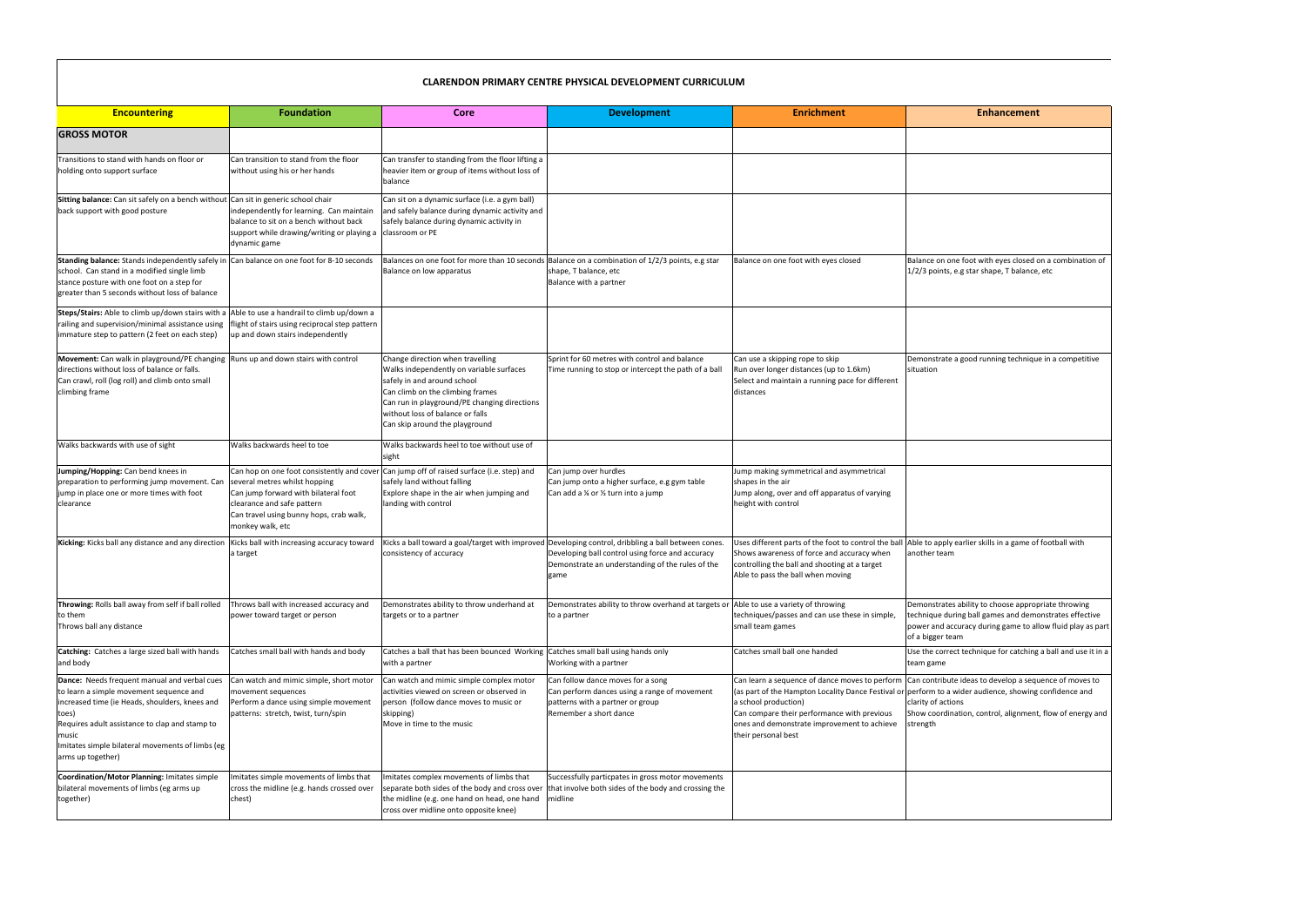| <b>Encountering</b>                                                                                                                                                                                                                                                                    | <b>Foundation</b>                                                                                                                                                  | Core                                                                                                                                                                                                                                                                  | <b>Development</b>                                                                                                                                                                                                  | <b>Enrichment</b>                                                                                                                                                                               | <b>Enhancement</b>                                                                                                                                                                                                                                            |
|----------------------------------------------------------------------------------------------------------------------------------------------------------------------------------------------------------------------------------------------------------------------------------------|--------------------------------------------------------------------------------------------------------------------------------------------------------------------|-----------------------------------------------------------------------------------------------------------------------------------------------------------------------------------------------------------------------------------------------------------------------|---------------------------------------------------------------------------------------------------------------------------------------------------------------------------------------------------------------------|-------------------------------------------------------------------------------------------------------------------------------------------------------------------------------------------------|---------------------------------------------------------------------------------------------------------------------------------------------------------------------------------------------------------------------------------------------------------------|
| <b>GROSS MOTOR</b>                                                                                                                                                                                                                                                                     |                                                                                                                                                                    |                                                                                                                                                                                                                                                                       |                                                                                                                                                                                                                     |                                                                                                                                                                                                 |                                                                                                                                                                                                                                                               |
| Transitions to stand with hands on floor or<br>holding onto support surface                                                                                                                                                                                                            | Can transition to stand from the floor<br>without using his or her hands                                                                                           | Can transfer to standing from the floor lifting a<br>heavier item or group of items without loss of<br>balance                                                                                                                                                        |                                                                                                                                                                                                                     |                                                                                                                                                                                                 |                                                                                                                                                                                                                                                               |
| Sitting balance: Can sit safely on a bench without Can sit in generic school chair<br>back support with good posture                                                                                                                                                                   | independently for learning. Can maintain<br>balance to sit on a bench without back<br>support while drawing/writing or playing a<br>dynamic game                   | Can sit on a dynamic surface (i.e. a gym ball)<br>and safely balance during dynamic activity and<br>safely balance during dynamic activity in<br>classroom or PE                                                                                                      |                                                                                                                                                                                                                     |                                                                                                                                                                                                 |                                                                                                                                                                                                                                                               |
| <b>Standing balance:</b> Stands independently safely in Can balance on one foot for 8-10 seconds<br>school. Can stand in a modified single limb<br>stance posture with one foot on a step for<br>greater than 5 seconds without loss of balance                                        |                                                                                                                                                                    | Balance on low apparatus                                                                                                                                                                                                                                              | Balances on one foot for more than 10 seconds Balance on a combination of 1/2/3 points, e.g star<br>shape, T balance, etc<br>Balance with a partner                                                                 | Balance on one foot with eyes closed                                                                                                                                                            | Balance on one foot with eyes closed on a combination of<br>1/2/3 points, e.g star shape, T balance, etc                                                                                                                                                      |
| Steps/Stairs: Able to climb up/down stairs with a<br>railing and supervision/minimal assistance using<br>immature step to pattern (2 feet on each step)                                                                                                                                | Able to use a handrail to climb up/down a<br>flight of stairs using reciprocal step pattern<br>up and down stairs independently                                    |                                                                                                                                                                                                                                                                       |                                                                                                                                                                                                                     |                                                                                                                                                                                                 |                                                                                                                                                                                                                                                               |
| Movement: Can walk in playground/PE changing<br>directions without loss of balance or falls.<br>Can crawl, roll (log roll) and climb onto small<br>climbing frame                                                                                                                      | Runs up and down stairs with control                                                                                                                               | Change direction when travelling<br>Walks independently on variable surfaces<br>safely in and around school<br>Can climb on the climbing frames<br>Can run in playground/PE changing directions<br>without loss of balance or falls<br>Can skip around the playground | Sprint for 60 metres with control and balance<br>Time running to stop or intercept the path of a ball                                                                                                               | Can use a skipping rope to skip<br>Run over longer distances (up to 1.6km)<br>Select and maintain a running pace for different<br>distances                                                     | Demonstrate a good running technique in a competitive<br>situation                                                                                                                                                                                            |
| Walks backwards with use of sight                                                                                                                                                                                                                                                      | Walks backwards heel to toe                                                                                                                                        | Walks backwards heel to toe without use of<br>sight                                                                                                                                                                                                                   |                                                                                                                                                                                                                     |                                                                                                                                                                                                 |                                                                                                                                                                                                                                                               |
| Jumping/Hopping: Can bend knees in<br>preparation to performing jump movement. Can<br>jump in place one or more times with foot<br>clearance                                                                                                                                           | several metres whilst hopping<br>Can jump forward with bilateral foot<br>clearance and safe pattern<br>Can travel using bunny hops, crab walk,<br>monkey walk, etc | Can hop on one foot consistently and cover Can jump off of raised surface (i.e. step) and<br>safely land without falling<br>Explore shape in the air when jumping and<br>landing with control                                                                         | Can jump over hurdles<br>Can jump onto a higher surface, e.g gym table<br>Can add a ¼ or ½ turn into a jump                                                                                                         | Jump making symmetrical and asymmetrical<br>shapes in the air<br>Jump along, over and off apparatus of varying<br>height with control                                                           |                                                                                                                                                                                                                                                               |
| Kicking: Kicks ball any distance and any direction                                                                                                                                                                                                                                     | Kicks ball with increasing accuracy toward<br>a target                                                                                                             | consistency of accuracy                                                                                                                                                                                                                                               | Kicks a ball toward a goal/target with improved Developing control, dribbling a ball between cones.<br>Developing ball control using force and accuracy<br>Demonstrate an understanding of the rules of the<br>game | Uses different parts of the foot to control the ball<br>Shows awareness of force and accuracy when<br>controlling the ball and shooting at a target<br>Able to pass the ball when moving        | Able to apply earlier skills in a game of football with<br>another team                                                                                                                                                                                       |
| Throwing: Rolls ball away from self if ball rolled<br>to them<br>Throws ball any distance                                                                                                                                                                                              | Throws ball with increased accuracy and<br>power toward target or person                                                                                           | Demonstrates ability to throw underhand at<br>targets or to a partner                                                                                                                                                                                                 | Demonstrates ability to throw overhand at targets or<br>to a partner                                                                                                                                                | Able to use a variety of throwing<br>techniques/passes and can use these in simple,<br>small team games                                                                                         | Demonstrates ability to choose appropriate throwing<br>technique during ball games and demonstrates effective<br>power and accuracy during game to allow fluid play as part<br>of a bigger team                                                               |
| Catching: Catches a large sized ball with hands<br>and body                                                                                                                                                                                                                            | Catches small ball with hands and body                                                                                                                             | Catches a ball that has been bounced Working Catches small ball using hands only<br>with a partner                                                                                                                                                                    | Working with a partner                                                                                                                                                                                              | Catches small ball one handed                                                                                                                                                                   | Use the correct technique for catching a ball and use it in a<br>team game                                                                                                                                                                                    |
| Dance: Needs frequent manual and verbal cues<br>to learn a simple movement sequence and<br>increased time (ie Heads, shoulders, knees and<br>toes)<br>Requires adult assistance to clap and stamp to<br>music<br>Imitates simple bilateral movements of limbs (eg<br>arms up together) | Can watch and mimic simple, short motor<br>movement sequences<br>Perform a dance using simple movement<br>patterns: stretch, twist, turn/spin                      | Can watch and mimic simple complex motor<br>activities viewed on screen or observed in<br>person (follow dance moves to music or<br>skipping)<br>Move in time to the music                                                                                            | Can follow dance moves for a song<br>Can perform dances using a range of movement<br>patterns with a partner or group<br>Remember a short dance                                                                     | (as part of the Hampton Locality Dance Festival or<br>a school production)<br>Can compare their performance with previous<br>ones and demonstrate improvement to achieve<br>their personal best | Can learn a sequence of dance moves to perform   Can contribute ideas to develop a sequence of moves to<br>perform to a wider audience, showing confidence and<br>clarity of actions<br>Show coordination, control, alignment, flow of energy and<br>strength |
| Coordination/Motor Planning: Imitates simple<br>bilateral movements of limbs (eg arms up<br>together)                                                                                                                                                                                  | Imitates simple movements of limbs that<br>cross the midline (e.g. hands crossed over<br>chest)                                                                    | Imitates complex movements of limbs that<br>separate both sides of the body and cross over<br>the midline (e.g. one hand on head, one hand<br>cross over midline onto opposite knee)                                                                                  | Successfully particpates in gross motor movements<br>that involve both sides of the body and crossing the<br>midline                                                                                                |                                                                                                                                                                                                 |                                                                                                                                                                                                                                                               |

| <b>Enhancement</b>                                                                                                                  |
|-------------------------------------------------------------------------------------------------------------------------------------|
|                                                                                                                                     |
|                                                                                                                                     |
|                                                                                                                                     |
|                                                                                                                                     |
|                                                                                                                                     |
| Balance on one foot with eyes closed on a combination of<br>1/2/3 points, e.g star shape, T balance, etc                            |
|                                                                                                                                     |
|                                                                                                                                     |
|                                                                                                                                     |
| Demonstrate a good running technique in a competitive<br>situation                                                                  |
|                                                                                                                                     |
|                                                                                                                                     |
|                                                                                                                                     |
|                                                                                                                                     |
|                                                                                                                                     |
|                                                                                                                                     |
| Able to apply earlier skills in a game of football with<br>another team                                                             |
|                                                                                                                                     |
| Demonstrates ability to choose appropriate throwing                                                                                 |
| technique during ball games and demonstrates effective<br>power and accuracy during game to allow fluid play as part                |
| of a bigger team<br>Use the correct technique for catching a ball and use it in a                                                   |
| team game                                                                                                                           |
| Can contribute ideas to develop a sequence of moves to<br>perform to a wider audience, showing confidence and<br>clarity of actions |
| Show coordination, control, alignment, flow of energy and<br>strength                                                               |
|                                                                                                                                     |
|                                                                                                                                     |
|                                                                                                                                     |
|                                                                                                                                     |

## **CLARENDON PRIMARY CENTRE PHYSICAL DEVELOPMENT CURRICULUM**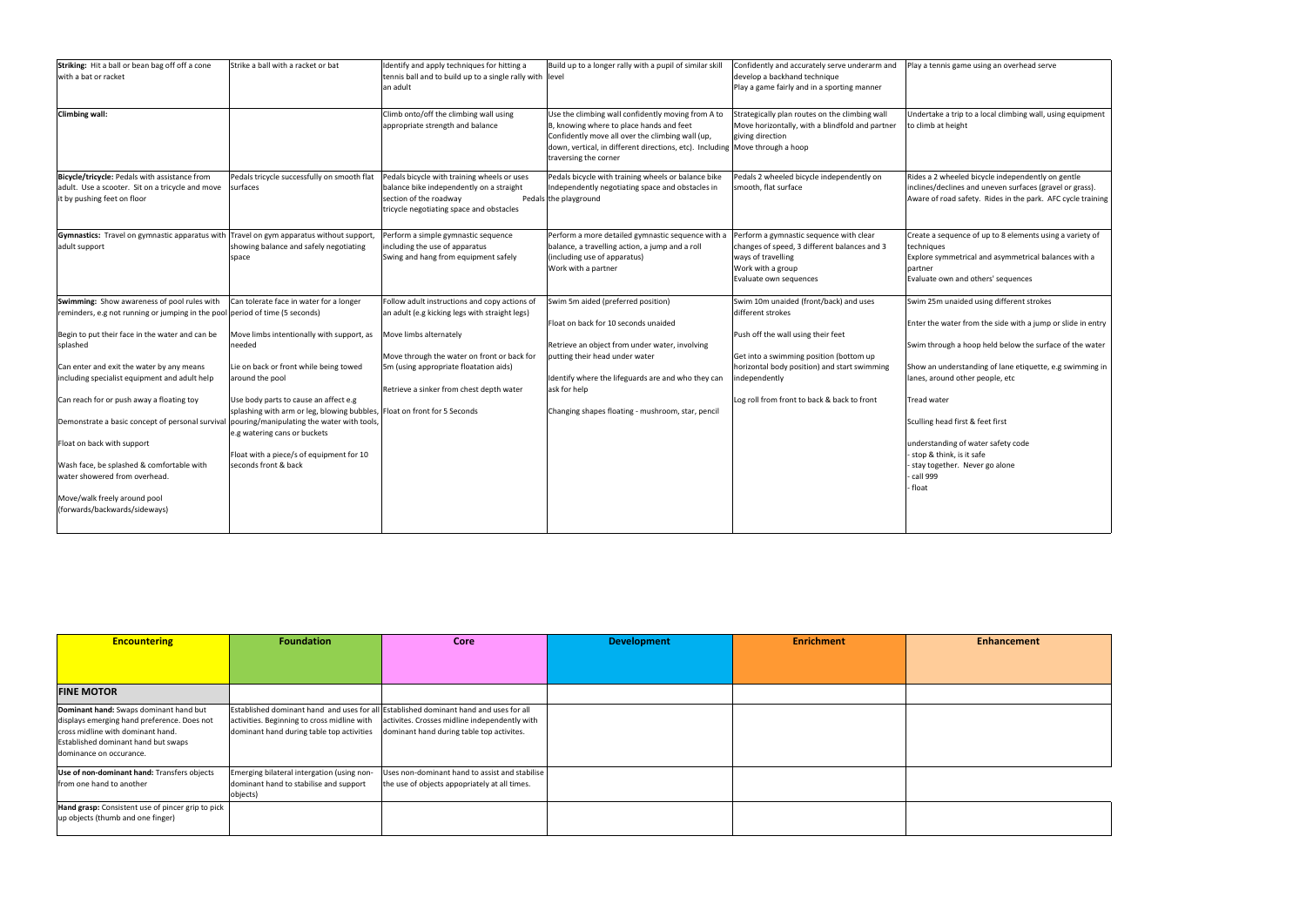| Striking: Hit a ball or bean bag off off a cone<br>with a bat or racket                                                                                                                                                                                                                                                                                                                                                                                                                                                               | Strike a ball with a racket or bat                                                                                                                                                                                                                                                                                                                                                                                                 | Identify and apply techniques for hitting a<br>tennis ball and to build up to a single rally with level<br>an adult                                                                                                                                            | Build up to a longer rally with a pupil of similar skill                                                                                                                                                                                                                                  | Confidently and accurately serve underarm and<br>develop a backhand technique<br>Play a game fairly and in a sporting manner                                                                                                                                 | Play a tennis game using an overhead serve                                                                                                                                                                                                                                                                                                                                                                                                            |
|---------------------------------------------------------------------------------------------------------------------------------------------------------------------------------------------------------------------------------------------------------------------------------------------------------------------------------------------------------------------------------------------------------------------------------------------------------------------------------------------------------------------------------------|------------------------------------------------------------------------------------------------------------------------------------------------------------------------------------------------------------------------------------------------------------------------------------------------------------------------------------------------------------------------------------------------------------------------------------|----------------------------------------------------------------------------------------------------------------------------------------------------------------------------------------------------------------------------------------------------------------|-------------------------------------------------------------------------------------------------------------------------------------------------------------------------------------------------------------------------------------------------------------------------------------------|--------------------------------------------------------------------------------------------------------------------------------------------------------------------------------------------------------------------------------------------------------------|-------------------------------------------------------------------------------------------------------------------------------------------------------------------------------------------------------------------------------------------------------------------------------------------------------------------------------------------------------------------------------------------------------------------------------------------------------|
| <b>Climbing wall:</b>                                                                                                                                                                                                                                                                                                                                                                                                                                                                                                                 |                                                                                                                                                                                                                                                                                                                                                                                                                                    | Climb onto/off the climbing wall using<br>appropriate strength and balance                                                                                                                                                                                     | Use the climbing wall confidently moving from A to<br>B, knowing where to place hands and feet<br>Confidently move all over the climbing wall (up,<br>down, vertical, in different directions, etc). Including Move through a hoop<br>traversing the corner                               | Strategically plan routes on the climbing wall<br>Move horizontally, with a blindfold and partner<br>giving direction                                                                                                                                        | Undertake a trip to a local climbing wall, using equipment<br>to climb at height                                                                                                                                                                                                                                                                                                                                                                      |
| Bicycle/tricycle: Pedals with assistance from<br>adult. Use a scooter. Sit on a tricycle and move<br>it by pushing feet on floor                                                                                                                                                                                                                                                                                                                                                                                                      | Pedals tricycle successfully on smooth flat<br>surfaces                                                                                                                                                                                                                                                                                                                                                                            | Pedals bicycle with training wheels or uses<br>balance bike independently on a straight<br>section of the roadway<br>tricycle negotiating space and obstacles                                                                                                  | Pedals bicycle with training wheels or balance bike<br>Independently negotiating space and obstacles in<br>Pedals the playground                                                                                                                                                          | Pedals 2 wheeled bicycle independently on<br>smooth, flat surface                                                                                                                                                                                            | Rides a 2 wheeled bicycle independently on gentle<br>inclines/declines and uneven surfaces (gravel or grass).<br>Aware of road safety. Rides in the park. AFC cycle training                                                                                                                                                                                                                                                                          |
| Gymnastics: Travel on gymnastic apparatus with Travel on gym apparatus without support,<br>adult support                                                                                                                                                                                                                                                                                                                                                                                                                              | showing balance and safely negotiating<br>space                                                                                                                                                                                                                                                                                                                                                                                    | Perform a simple gymnastic sequence<br>including the use of apparatus<br>Swing and hang from equipment safely                                                                                                                                                  | Perform a more detailed gymnastic sequence with a<br>balance, a travelling action, a jump and a roll<br>(including use of apparatus)<br>Work with a partner                                                                                                                               | Perform a gymnastic sequence with clear<br>changes of speed, 3 different balances and 3<br>ways of travelling<br>Work with a group<br>Evaluate own sequences                                                                                                 | Create a sequence of up to 8 elements using a variety of<br>techniques<br>Explore symmetrical and asymmetrical balances with a<br>partner<br>Evaluate own and others' sequences                                                                                                                                                                                                                                                                       |
| Swimming: Show awareness of pool rules with<br>reminders, e.g not running or jumping in the pool period of time (5 seconds)<br>Begin to put their face in the water and can be<br>splashed<br>Can enter and exit the water by any means<br>including specialist equipment and adult help<br>Can reach for or push away a floating toy<br>Demonstrate a basic concept of personal survival<br>Float on back with support<br>Wash face, be splashed & comfortable with<br>water showered from overhead.<br>Move/walk freely around pool | Can tolerate face in water for a longer<br>Move limbs intentionally with support, as<br>needed<br>Lie on back or front while being towed<br>around the pool<br>Use body parts to cause an affect e.g<br>splashing with arm or leg, blowing bubbles, Float on front for 5 Seconds<br>pouring/manipulating the water with tools,<br>e.g watering cans or buckets<br>Float with a piece/s of equipment for 10<br>seconds front & back | Follow adult instructions and copy actions of<br>an adult (e.g kicking legs with straight legs)<br>Move limbs alternately<br>Move through the water on front or back for<br>5m (using appropriate floatation aids)<br>Retrieve a sinker from chest depth water | Swim 5m aided (preferred position)<br>Float on back for 10 seconds unaided<br>Retrieve an object from under water, involving<br>putting their head under water<br>Identify where the lifeguards are and who they can<br>ask for help<br>Changing shapes floating - mushroom, star, pencil | Swim 10m unaided (front/back) and uses<br>different strokes<br>Push off the wall using their feet<br>Get into a swimming position (bottom up<br>horizontal body position) and start swimming<br>independently<br>Log roll from front to back & back to front | Swim 25m unaided using different strokes<br>Enter the water from the side with a jump or slide in entry<br>Swim through a hoop held below the surface of the water<br>Show an understanding of lane etiquette, e.g swimming in<br>lanes, around other people, etc<br><b>Tread water</b><br>Sculling head first & feet first<br>understanding of water safety code<br>- stop & think, is it safe<br>stay together. Never go alone<br>call 999<br>float |
| (forwards/backwards/sideways)                                                                                                                                                                                                                                                                                                                                                                                                                                                                                                         |                                                                                                                                                                                                                                                                                                                                                                                                                                    |                                                                                                                                                                                                                                                                |                                                                                                                                                                                                                                                                                           |                                                                                                                                                                                                                                                              |                                                                                                                                                                                                                                                                                                                                                                                                                                                       |

| <b>Encountering</b>                                                                                                                                                                          | <b>Foundation</b>                                                                                                                                                                                                           | Core                                                                                            | <b>Development</b> | <b>Enrichment</b> | <b>Enhancement</b> |
|----------------------------------------------------------------------------------------------------------------------------------------------------------------------------------------------|-----------------------------------------------------------------------------------------------------------------------------------------------------------------------------------------------------------------------------|-------------------------------------------------------------------------------------------------|--------------------|-------------------|--------------------|
|                                                                                                                                                                                              |                                                                                                                                                                                                                             |                                                                                                 |                    |                   |                    |
| <b>FINE MOTOR</b>                                                                                                                                                                            |                                                                                                                                                                                                                             |                                                                                                 |                    |                   |                    |
| Dominant hand: Swaps dominant hand but<br>displays emerging hand preference. Does not<br>cross midline with dominant hand.<br>Established dominant hand but swaps<br>dominance on occurance. | Established dominant hand and uses for all Established dominant hand and uses for all<br>activities. Beginning to cross midline with<br>dominant hand during table top activities dominant hand during table top activites. | activites. Crosses midline independently with                                                   |                    |                   |                    |
| Use of non-dominant hand: Transfers objects<br>from one hand to another                                                                                                                      | Emerging bilateral intergation (using non-<br>dominant hand to stabilise and support<br>objects)                                                                                                                            | Uses non-dominant hand to assist and stabilise<br>the use of objects appopriately at all times. |                    |                   |                    |
| Hand grasp: Consistent use of pincer grip to pick<br>up objects (thumb and one finger)                                                                                                       |                                                                                                                                                                                                                             |                                                                                                 |                    |                   |                    |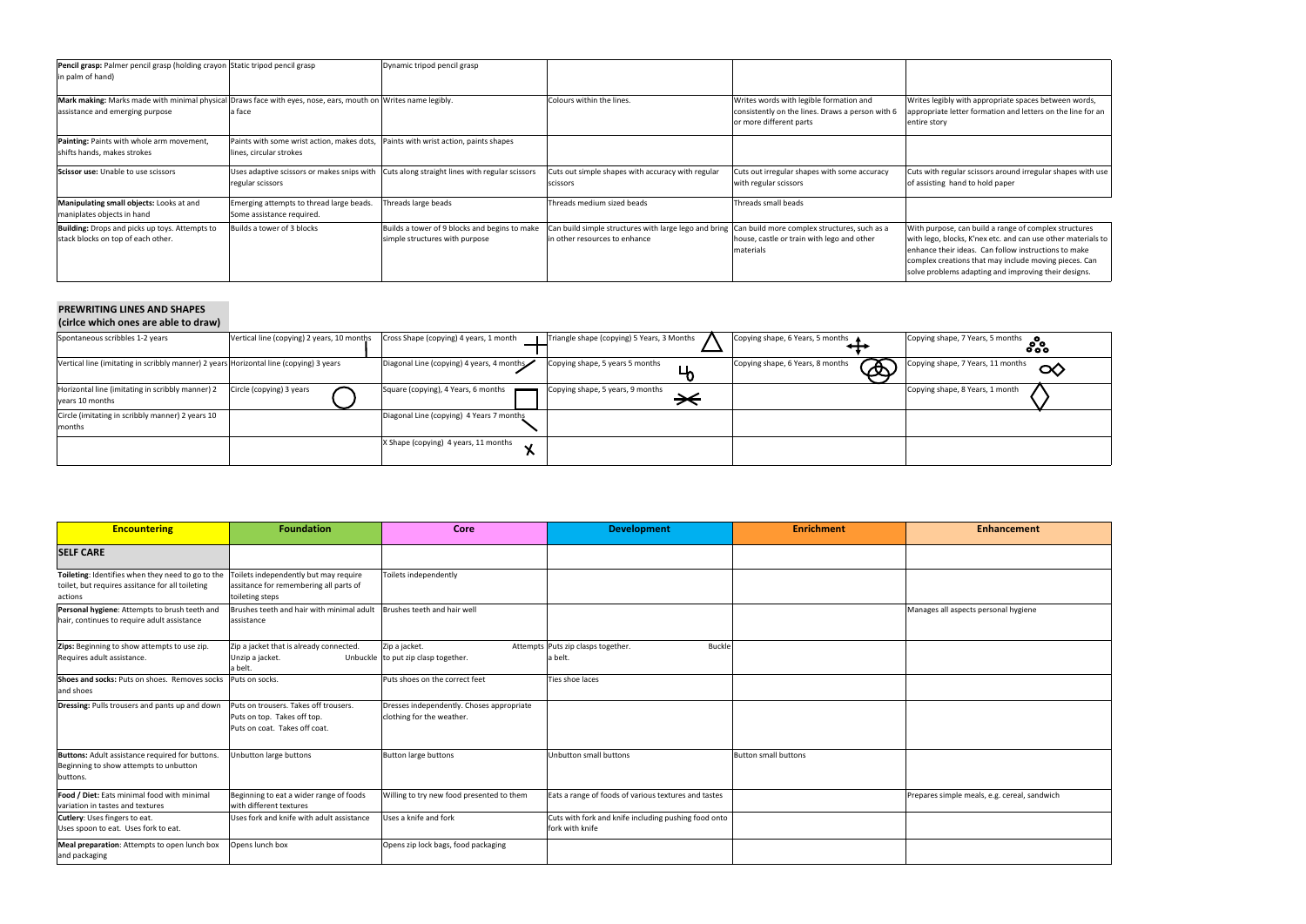Writes legibly with appropriate spaces between words, appropriate letter formation and letters on the line for an

ors around irregular shapes with use old paper

| Pencil grasp: Palmer pencil grasp (holding crayon Static tripod pencil grasp<br>in palm of hand)                                                 |                                                                                                               | Dynamic tripod pencil grasp                                                     |                                                                                        |                                                                                                                        |                                                                                                                                     |
|--------------------------------------------------------------------------------------------------------------------------------------------------|---------------------------------------------------------------------------------------------------------------|---------------------------------------------------------------------------------|----------------------------------------------------------------------------------------|------------------------------------------------------------------------------------------------------------------------|-------------------------------------------------------------------------------------------------------------------------------------|
| Mark making: Marks made with minimal physical Draws face with eyes, nose, ears, mouth on Writes name legibly.<br>assistance and emerging purpose | a face                                                                                                        |                                                                                 | Colours within the lines.                                                              | Writes words with legible formation and<br>consistently on the lines. Draws a person with 6<br>or more different parts | Writes legibly with appr<br>appropriate letter form:<br>entire story                                                                |
| Painting: Paints with whole arm movement,<br>shifts hands, makes strokes                                                                         | Paints with some wrist action, makes dots, Paints with wrist action, paints shapes<br>lines, circular strokes |                                                                                 |                                                                                        |                                                                                                                        |                                                                                                                                     |
| <b>Scissor use:</b> Unable to use scissors                                                                                                       | Uses adaptive scissors or makes snips with<br>regular scissors                                                | Cuts along straight lines with regular scissors                                 | Cuts out simple shapes with accuracy with regular<br>scissors                          | Cuts out irregular shapes with some accuracy<br>with regular scissors                                                  | Cuts with regular scissor<br>of assisting hand to hol                                                                               |
| Manipulating small objects: Looks at and<br>maniplates objects in hand                                                                           | Emerging attempts to thread large beads.<br>Some assistance required.                                         | Threads large beads                                                             | Threads medium sized beads                                                             | Threads small beads                                                                                                    |                                                                                                                                     |
| Building: Drops and picks up toys. Attempts to<br>stack blocks on top of each other.                                                             | Builds a tower of 3 blocks                                                                                    | Builds a tower of 9 blocks and begins to make<br>simple structures with purpose | Can build simple structures with large lego and bring<br>in other resources to enhance | Can build more complex structures, such as a<br>house, castle or train with lego and other<br>materials                | With purpose, can build<br>with lego, blocks, K'nex<br>enhance their ideas. Ca<br>complex creations that<br>solve problems adapting |

With purpose, can build a range of complex structures with lego, blocks, K'nex etc. and can use other materials to an follow instructions to make may include moving pieces. Can ng and improving their designs.



| Terrice Willen Ones are able to draw,                                                  |                                            |                                           |                                            |                                                                           |                                   |
|----------------------------------------------------------------------------------------|--------------------------------------------|-------------------------------------------|--------------------------------------------|---------------------------------------------------------------------------|-----------------------------------|
| Spontaneous scribbles 1-2 years                                                        | Vertical line (copying) 2 years, 10 months | Cross Shape (copying) 4 years, 1 month    | Triangle shape (copying) 5 Years, 3 Months | Copying shape, 6 Years, 5 months ▲                                        | Copying shape, 7 Years, 5 months  |
|                                                                                        |                                            |                                           |                                            |                                                                           |                                   |
| Vertical line (imitating in scribbly manner) 2 years Horizontal line (copying) 3 years |                                            | Diagonal Line (copying) 4 years, 4 months | Copying shape, 5 years 5 months            | $\mathbf{x}$<br>Copying shape, 6 Years, 8 months<br>$\boldsymbol{\Omega}$ | Copying shape, 7 Years, 11 months |
| Horizontal line (imitating in scribbly manner) 2<br>years 10 months                    | Circle (copying) 3 years                   | Square (copying), 4 Years, 6 months       | Copying shape, 5 years, 9 months           |                                                                           | Copying shape, 8 Years, 1 month   |
| Circle (imitating in scribbly manner) 2 years 10                                       |                                            | Diagonal Line (copying) 4 Years 7 months  |                                            |                                                                           |                                   |
| months                                                                                 |                                            |                                           |                                            |                                                                           |                                   |
|                                                                                        |                                            | X Shape (copying) 4 years, 11 months      |                                            |                                                                           |                                   |

## **PREWRITING LINES AND SHAPES (cirlce which ones are able to draw)**

| <b>Encountering</b>                                                                                              | <b>Foundation</b>                                                                                     | Core                                                                   | <b>Development</b>                                                      | <b>Enrichment</b>           | <b>Enhancement</b>                           |
|------------------------------------------------------------------------------------------------------------------|-------------------------------------------------------------------------------------------------------|------------------------------------------------------------------------|-------------------------------------------------------------------------|-----------------------------|----------------------------------------------|
| <b>SELF CARE</b>                                                                                                 |                                                                                                       |                                                                        |                                                                         |                             |                                              |
| Toileting: Identifies when they need to go to the<br>toilet, but requires assitance for all toileting<br>actions | Toilets independently but may require<br>assitance for remembering all parts of<br>toileting steps    | Toilets independently                                                  |                                                                         |                             |                                              |
| Personal hygiene: Attempts to brush teeth and<br>hair, continues to require adult assistance                     | Brushes teeth and hair with minimal adult<br>assistance                                               | Brushes teeth and hair well                                            |                                                                         |                             | Manages all aspects personal hygiene         |
| Zips: Beginning to show attempts to use zip.<br>Requires adult assistance.                                       | Zip a jacket that is already connected.<br>Unzip a jacket.<br>a belt.                                 | Zip a jacket.<br>Unbuckle to put zip clasp together.                   | Attempts Puts zip clasps together.<br><b>Buckle</b><br>a belt.          |                             |                                              |
| Shoes and socks: Puts on shoes. Removes socks<br>and shoes                                                       | Puts on socks.                                                                                        | Puts shoes on the correct feet                                         | Ties shoe laces                                                         |                             |                                              |
| Dressing: Pulls trousers and pants up and down                                                                   | Puts on trousers. Takes off trousers.<br>Puts on top. Takes off top.<br>Puts on coat. Takes off coat. | Dresses independently. Choses appropriate<br>clothing for the weather. |                                                                         |                             |                                              |
| Buttons: Adult assistance required for buttons.<br>Beginning to show attempts to unbutton<br>buttons.            | Unbutton large buttons                                                                                | <b>Button large buttons</b>                                            | <b>Unbutton small buttons</b>                                           | <b>Button small buttons</b> |                                              |
| Food / Diet: Eats minimal food with minimal<br>variation in tastes and textures                                  | Beginning to eat a wider range of foods<br>with different textures                                    | Willing to try new food presented to them                              | Eats a range of foods of various textures and tastes                    |                             | Prepares simple meals, e.g. cereal, sandwich |
| Cutlery: Uses fingers to eat.<br>Uses spoon to eat. Uses fork to eat.                                            | Uses fork and knife with adult assistance                                                             | Uses a knife and fork                                                  | Cuts with fork and knife including pushing food onto<br>fork with knife |                             |                                              |
| Meal preparation: Attempts to open lunch box<br>and packaging                                                    | Opens lunch box                                                                                       | Opens zip lock bags, food packaging                                    |                                                                         |                             |                                              |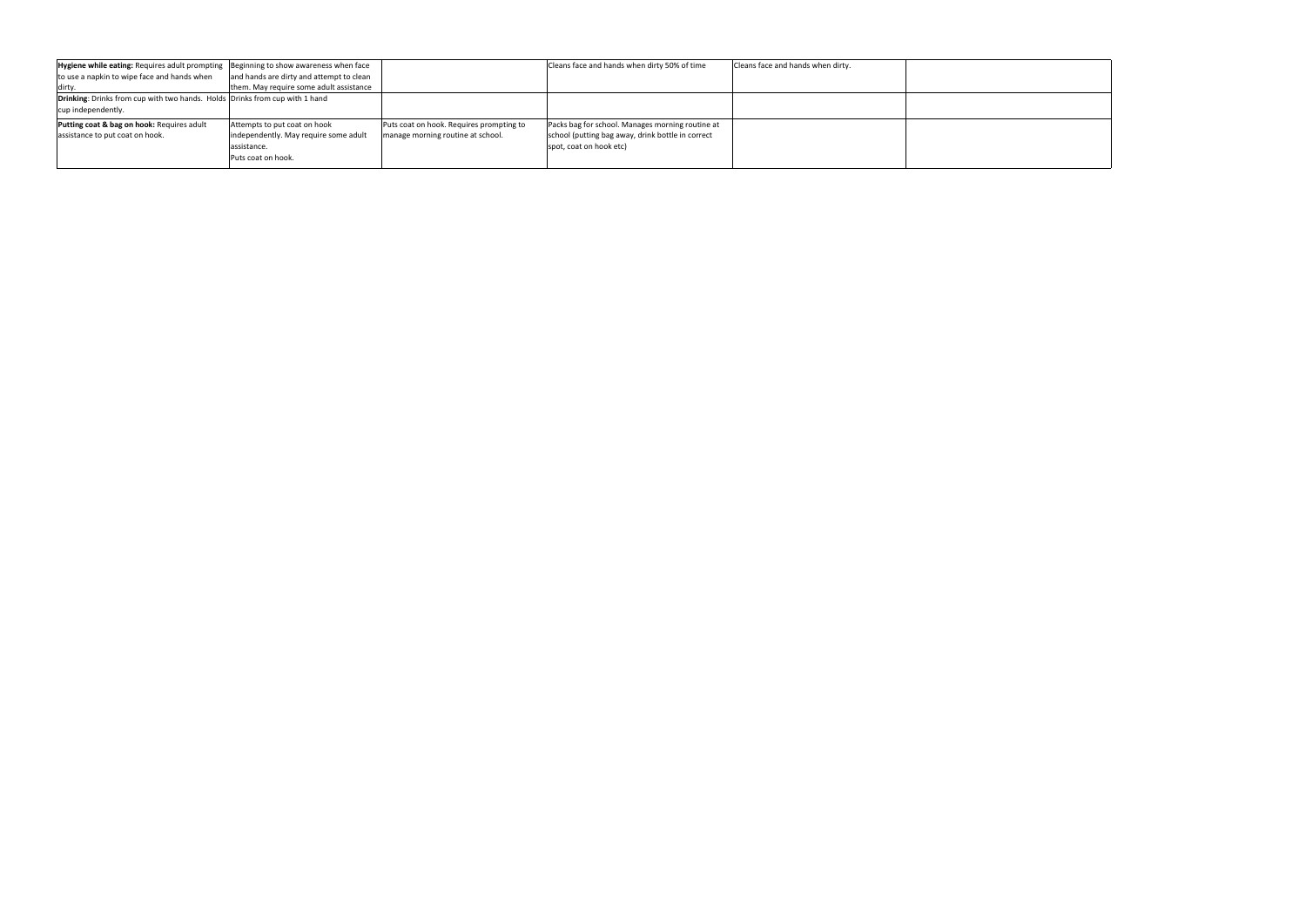| <b>Hygiene while eating:</b> Requires adult prompting Beginning to show awareness when face |                                          |                                          | Cleans face and hands when dirty 50% of time      | Cleans face and hands when dirty. |  |
|---------------------------------------------------------------------------------------------|------------------------------------------|------------------------------------------|---------------------------------------------------|-----------------------------------|--|
| to use a napkin to wipe face and hands when                                                 | and hands are dirty and attempt to clean |                                          |                                                   |                                   |  |
| dirty                                                                                       | them. May require some adult assistance  |                                          |                                                   |                                   |  |
| <b>Drinking:</b> Drinks from cup with two hands. Holds Drinks from cup with 1 hand          |                                          |                                          |                                                   |                                   |  |
| cup independently.                                                                          |                                          |                                          |                                                   |                                   |  |
| Putting coat & bag on hook: Requires adult                                                  | Attempts to put coat on hook             | Puts coat on hook. Requires prompting to | Packs bag for school. Manages morning routine at  |                                   |  |
| assistance to put coat on hook.                                                             | independently. May require some adult    | manage morning routine at school.        | school (putting bag away, drink bottle in correct |                                   |  |
|                                                                                             | assistance.                              |                                          | spot, coat on hook etc)                           |                                   |  |
|                                                                                             | Puts coat on hook.                       |                                          |                                                   |                                   |  |